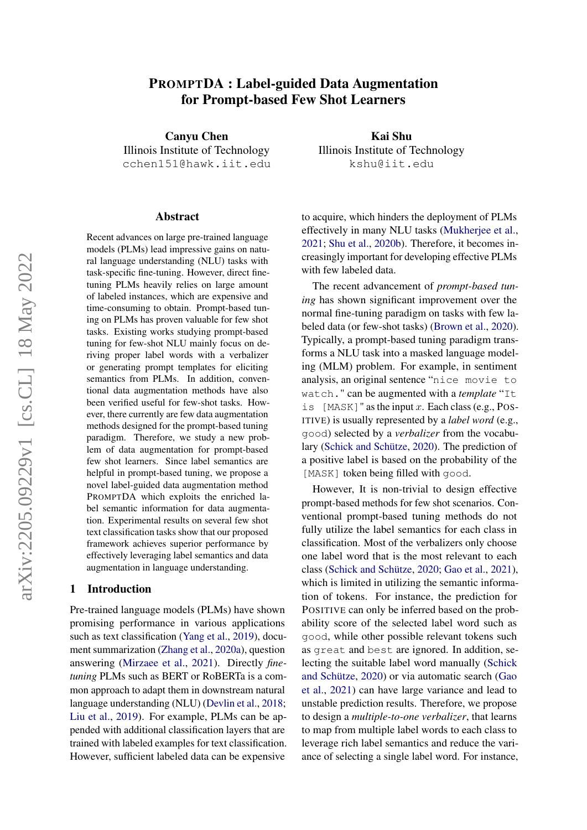# PROMPTDA : Label-guided Data Augmentation for Prompt-based Few Shot Learners

Canyu Chen Illinois Institute of Technology cchen151@hawk.iit.edu

#### Abstract

Recent advances on large pre-trained language models (PLMs) lead impressive gains on natural language understanding (NLU) tasks with task-specific fine-tuning. However, direct finetuning PLMs heavily relies on large amount of labeled instances, which are expensive and time-consuming to obtain. Prompt-based tuning on PLMs has proven valuable for few shot tasks. Existing works studying prompt-based tuning for few-shot NLU mainly focus on deriving proper label words with a verbalizer or generating prompt templates for eliciting semantics from PLMs. In addition, conventional data augmentation methods have also been verified useful for few-shot tasks. However, there currently are few data augmentation methods designed for the prompt-based tuning paradigm. Therefore, we study a new problem of data augmentation for prompt-based few shot learners. Since label semantics are helpful in prompt-based tuning, we propose a novel label-guided data augmentation method PROMPTDA which exploits the enriched label semantic information for data augmentation. Experimental results on several few shot text classification tasks show that our proposed framework achieves superior performance by effectively leveraging label semantics and data augmentation in language understanding.

### 1 Introduction

Pre-trained language models (PLMs) have shown promising performance in various applications such as text classification [\(Yang et al.,](#page-9-0) [2019\)](#page-9-0), document summarization [\(Zhang et al.,](#page-9-1) [2020a\)](#page-9-1), question answering [\(Mirzaee et al.,](#page-8-0) [2021\)](#page-8-0). Directly *finetuning* PLMs such as BERT or RoBERTa is a common approach to adapt them in downstream natural language understanding (NLU) [\(Devlin et al.,](#page-8-1) [2018;](#page-8-1) [Liu et al.,](#page-8-2) [2019\)](#page-8-2). For example, PLMs can be appended with additional classification layers that are trained with labeled examples for text classification. However, sufficient labeled data can be expensive

Kai Shu Illinois Institute of Technology kshu@iit.edu

to acquire, which hinders the deployment of PLMs effectively in many NLU tasks [\(Mukherjee et al.,](#page-8-3) [2021;](#page-8-3) [Shu et al.,](#page-9-2) [2020b\)](#page-9-2). Therefore, it becomes increasingly important for developing effective PLMs with few labeled data.

The recent advancement of *prompt-based tuning* has shown significant improvement over the normal fine-tuning paradigm on tasks with few labeled data (or few-shot tasks) [\(Brown et al.,](#page-8-4) [2020\)](#page-8-4). Typically, a prompt-based tuning paradigm transforms a NLU task into a masked language modeling (MLM) problem. For example, in sentiment analysis, an original sentence "nice movie to watch." can be augmented with a *template* "It is  $[MASK]$ " as the input x. Each class (e.g., POS-ITIVE) is usually represented by a *label word* (e.g., good) selected by a *verbalizer* from the vocabulary [\(Schick and Schütze,](#page-9-3) [2020\)](#page-9-3). The prediction of a positive label is based on the probability of the [MASK] token being filled with good.

However, It is non-trivial to design effective prompt-based methods for few shot scenarios. Conventional prompt-based tuning methods do not fully utilize the label semantics for each class in classification. Most of the verbalizers only choose one label word that is the most relevant to each class [\(Schick and Schütze,](#page-9-3) [2020;](#page-9-3) [Gao et al.,](#page-8-5) [2021\)](#page-8-5), which is limited in utilizing the semantic information of tokens. For instance, the prediction for POSITIVE can only be inferred based on the probability score of the selected label word such as good, while other possible relevant tokens such as great and best are ignored. In addition, selecting the suitable label word manually [\(Schick](#page-9-3) [and Schütze,](#page-9-3) [2020\)](#page-9-3) or via automatic search [\(Gao](#page-8-5) [et al.,](#page-8-5) [2021\)](#page-8-5) can have large variance and lead to unstable prediction results. Therefore, we propose to design a *multiple-to-one verbalizer*, that learns to map from multiple label words to each class to leverage rich label semantics and reduce the variance of selecting a single label word. For instance,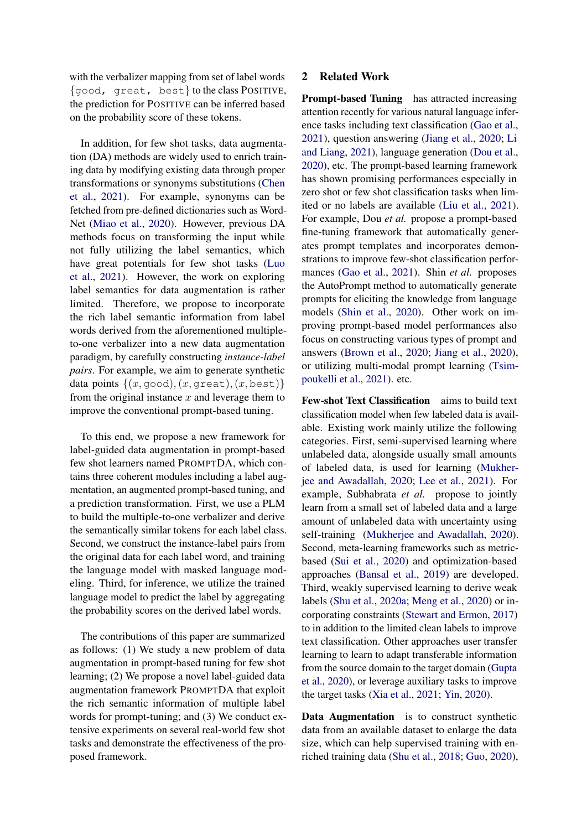with the verbalizer mapping from set of label words {good, great, best} to the class POSITIVE, the prediction for POSITIVE can be inferred based on the probability score of these tokens.

In addition, for few shot tasks, data augmentation (DA) methods are widely used to enrich training data by modifying existing data through proper transformations or synonyms substitutions [\(Chen](#page-8-6) [et al.,](#page-8-6) [2021\)](#page-8-6). For example, synonyms can be fetched from pre-defined dictionaries such as Word-Net [\(Miao et al.,](#page-8-7) [2020\)](#page-8-7). However, previous DA methods focus on transforming the input while not fully utilizing the label semantics, which have great potentials for few shot tasks [\(Luo](#page-8-8) [et al.,](#page-8-8) [2021\)](#page-8-8). However, the work on exploring label semantics for data augmentation is rather limited. Therefore, we propose to incorporate the rich label semantic information from label words derived from the aforementioned multipleto-one verbalizer into a new data augmentation paradigm, by carefully constructing *instance-label pairs*. For example, we aim to generate synthetic data points  $\{(x, \text{good}), (x, \text{great}), (x, \text{best})\}$ from the original instance  $x$  and leverage them to improve the conventional prompt-based tuning.

To this end, we propose a new framework for label-guided data augmentation in prompt-based few shot learners named PROMPTDA, which contains three coherent modules including a label augmentation, an augmented prompt-based tuning, and a prediction transformation. First, we use a PLM to build the multiple-to-one verbalizer and derive the semantically similar tokens for each label class. Second, we construct the instance-label pairs from the original data for each label word, and training the language model with masked language modeling. Third, for inference, we utilize the trained language model to predict the label by aggregating the probability scores on the derived label words.

The contributions of this paper are summarized as follows: (1) We study a new problem of data augmentation in prompt-based tuning for few shot learning; (2) We propose a novel label-guided data augmentation framework PROMPTDA that exploit the rich semantic information of multiple label words for prompt-tuning; and (3) We conduct extensive experiments on several real-world few shot tasks and demonstrate the effectiveness of the proposed framework.

## 2 Related Work

Prompt-based Tuning has attracted increasing attention recently for various natural language inference tasks including text classification [\(Gao et al.,](#page-8-5) [2021\)](#page-8-5), question answering [\(Jiang et al.,](#page-8-9) [2020;](#page-8-9) [Li](#page-8-10) [and Liang,](#page-8-10) [2021\)](#page-8-10), language generation [\(Dou et al.,](#page-8-11) [2020\)](#page-8-11), etc. The prompt-based learning framework has shown promising performances especially in zero shot or few shot classification tasks when limited or no labels are available [\(Liu et al.,](#page-8-12) [2021\)](#page-8-12). For example, Dou *et al.* propose a prompt-based fine-tuning framework that automatically generates prompt templates and incorporates demonstrations to improve few-shot classification performances [\(Gao et al.,](#page-8-5) [2021\)](#page-8-5). Shin *et al.* proposes the AutoPrompt method to automatically generate prompts for eliciting the knowledge from language models [\(Shin et al.,](#page-9-4) [2020\)](#page-9-4). Other work on improving prompt-based model performances also focus on constructing various types of prompt and answers [\(Brown et al.,](#page-8-4) [2020;](#page-8-4) [Jiang et al.,](#page-8-9) [2020\)](#page-8-9), or utilizing multi-modal prompt learning [\(Tsim](#page-9-5)[poukelli et al.,](#page-9-5) [2021\)](#page-9-5). etc.

Few-shot Text Classification aims to build text classification model when few labeled data is available. Existing work mainly utilize the following categories. First, semi-supervised learning where unlabeled data, alongside usually small amounts of labeled data, is used for learning [\(Mukher](#page-8-13)[jee and Awadallah,](#page-8-13) [2020;](#page-8-13) [Lee et al.,](#page-8-14) [2021\)](#page-8-14). For example, Subhabrata *et al.* propose to jointly learn from a small set of labeled data and a large amount of unlabeled data with uncertainty using self-training [\(Mukherjee and Awadallah,](#page-8-13) [2020\)](#page-8-13). Second, meta-learning frameworks such as metricbased [\(Sui et al.,](#page-9-6) [2020\)](#page-9-6) and optimization-based approaches [\(Bansal et al.,](#page-8-15) [2019\)](#page-8-15) are developed. Third, weakly supervised learning to derive weak labels [\(Shu et al.,](#page-9-7) [2020a;](#page-9-7) [Meng et al.,](#page-8-16) [2020\)](#page-8-16) or incorporating constraints [\(Stewart and Ermon,](#page-9-8) [2017\)](#page-9-8) to in addition to the limited clean labels to improve text classification. Other approaches user transfer learning to learn to adapt transferable information from the source domain to the target domain [\(Gupta](#page-8-17) [et al.,](#page-8-17) [2020\)](#page-8-17), or leverage auxiliary tasks to improve the target tasks [\(Xia et al.,](#page-9-9) [2021;](#page-9-9) [Yin,](#page-9-10) [2020\)](#page-9-10).

Data Augmentation is to construct synthetic data from an available dataset to enlarge the data size, which can help supervised training with enriched training data [\(Shu et al.,](#page-9-11) [2018;](#page-9-11) [Guo,](#page-8-18) [2020\)](#page-8-18),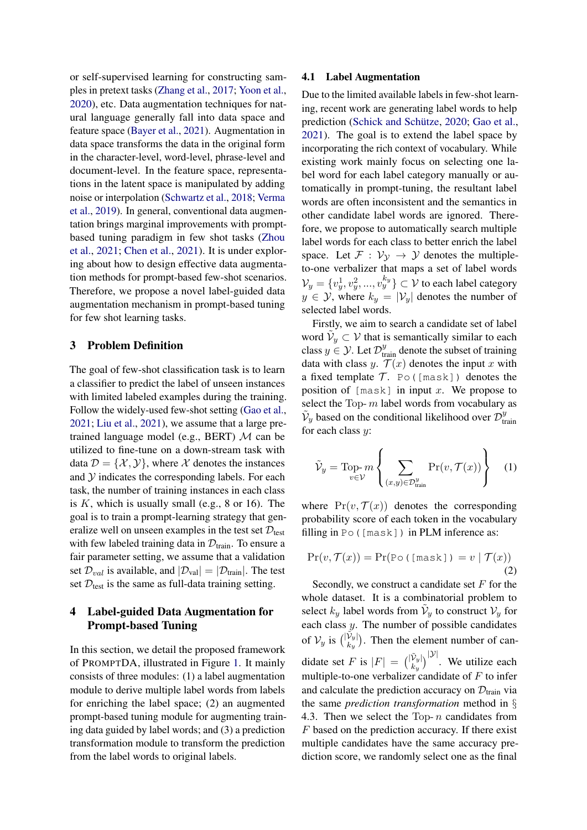or self-supervised learning for constructing samples in pretext tasks [\(Zhang et al.,](#page-9-12) [2017;](#page-9-12) [Yoon et al.,](#page-9-13) [2020\)](#page-9-13), etc. Data augmentation techniques for natural language generally fall into data space and feature space [\(Bayer et al.,](#page-8-19) [2021\)](#page-8-19). Augmentation in data space transforms the data in the original form in the character-level, word-level, phrase-level and document-level. In the feature space, representations in the latent space is manipulated by adding noise or interpolation [\(Schwartz et al.,](#page-9-14) [2018;](#page-9-14) [Verma](#page-9-15) [et al.,](#page-9-15) [2019\)](#page-9-15). In general, conventional data augmentation brings marginal improvements with promptbased tuning paradigm in few shot tasks [\(Zhou](#page-9-16) [et al.,](#page-9-16) [2021;](#page-9-16) [Chen et al.,](#page-8-6) [2021\)](#page-8-6). It is under exploring about how to design effective data augmentation methods for prompt-based few-shot scenarios. Therefore, we propose a novel label-guided data augmentation mechanism in prompt-based tuning for few shot learning tasks.

## 3 Problem Definition

The goal of few-shot classification task is to learn a classifier to predict the label of unseen instances with limited labeled examples during the training. Follow the widely-used few-shot setting [\(Gao et al.,](#page-8-5) [2021;](#page-8-5) [Liu et al.,](#page-8-12) [2021\)](#page-8-12), we assume that a large pretrained language model (e.g., BERT)  $M$  can be utilized to fine-tune on a down-stream task with data  $\mathcal{D} = \{\mathcal{X}, \mathcal{Y}\}\$ , where  $\mathcal X$  denotes the instances and  $Y$  indicates the corresponding labels. For each task, the number of training instances in each class is  $K$ , which is usually small (e.g., 8 or 16). The goal is to train a prompt-learning strategy that generalize well on unseen examples in the test set  $\mathcal{D}_{\text{test}}$ with few labeled training data in  $\mathcal{D}_{\text{train}}$ . To ensure a fair parameter setting, we assume that a validation set  $\mathcal{D}_{val}$  is available, and  $|\mathcal{D}_{val}| = |\mathcal{D}_{train}|$ . The test set  $D_{\text{test}}$  is the same as full-data training setting.

## 4 Label-guided Data Augmentation for Prompt-based Tuning

In this section, we detail the proposed framework of PROMPTDA, illustrated in Figure [1.](#page-3-0) It mainly consists of three modules: (1) a label augmentation module to derive multiple label words from labels for enriching the label space; (2) an augmented prompt-based tuning module for augmenting training data guided by label words; and (3) a prediction transformation module to transform the prediction from the label words to original labels.

#### 4.1 Label Augmentation

Due to the limited available labels in few-shot learning, recent work are generating label words to help prediction [\(Schick and Schütze,](#page-9-3) [2020;](#page-9-3) [Gao et al.,](#page-8-5) [2021\)](#page-8-5). The goal is to extend the label space by incorporating the rich context of vocabulary. While existing work mainly focus on selecting one label word for each label category manually or automatically in prompt-tuning, the resultant label words are often inconsistent and the semantics in other candidate label words are ignored. Therefore, we propose to automatically search multiple label words for each class to better enrich the label space. Let  $\mathcal{F}: \mathcal{V}_{\mathcal{V}} \to \mathcal{Y}$  denotes the multipleto-one verbalizer that maps a set of label words  $\mathcal{V}_y = \{v_y^1, v_y^2, ..., v_y^{k_y}\} \subset \mathcal{V}$  to each label category  $y \in \mathcal{Y}$ , where  $k_y = |\mathcal{V}_y|$  denotes the number of selected label words.

Firstly, we aim to search a candidate set of label word  $\tilde{\mathcal{V}}_y \subset \mathcal{V}$  that is semantically similar to each class  $y \in Y$ . Let  $\mathcal{D}_{\text{train}}^y$  denote the subset of training data with class y.  $\mathcal{T}(x)$  denotes the input x with a fixed template  $\mathcal T$ . Po ([mask]) denotes the position of  $[mask]$  in input x. We propose to select the Top- $m$  label words from vocabulary as  $\tilde{V}_y$  based on the conditional likelihood over  $\mathcal{D}_{\text{tr}}^y$ train for each class  $y$ :

$$
\tilde{\mathcal{V}}_y = \text{Top-}m \left\{ \sum_{(x,y) \in \mathcal{D}_{\text{train}}^y} \text{Pr}(v, \mathcal{T}(x)) \right\} \quad (1)
$$

where  $Pr(v, \mathcal{T}(x))$  denotes the corresponding probability score of each token in the vocabulary filling in Po([mask]) in PLM inference as:

$$
Pr(v, \mathcal{T}(x)) = Pr(P \circ (\text{[mask]}) = v | \mathcal{T}(x))
$$
\n(2)

Secondly, we construct a candidate set  $F$  for the whole dataset. It is a combinatorial problem to select  $k_y$  label words from  $\tilde{V}_y$  to construct  $V_y$  for each class y. The number of possible candidates of  $\mathcal{V}_y$  is  $\binom{|\tilde{\mathcal{V}}_y|}{k_y}$  $\begin{bmatrix} V_y \\ k_y \end{bmatrix}$ . Then the element number of candidate set F is  $|F| = \binom{|\tilde{V}_y|}{k_y}$  $\left.\tilde{V}_y\right|\right\rangle^{|\mathcal{Y}|}$ . We utilize each multiple-to-one verbalizer candidate of  $F$  to infer and calculate the prediction accuracy on  $\mathcal{D}_{\text{train}}$  via the same *prediction transformation* method in § 4.3. Then we select the Top- $n$  candidates from F based on the prediction accuracy. If there exist multiple candidates have the same accuracy prediction score, we randomly select one as the final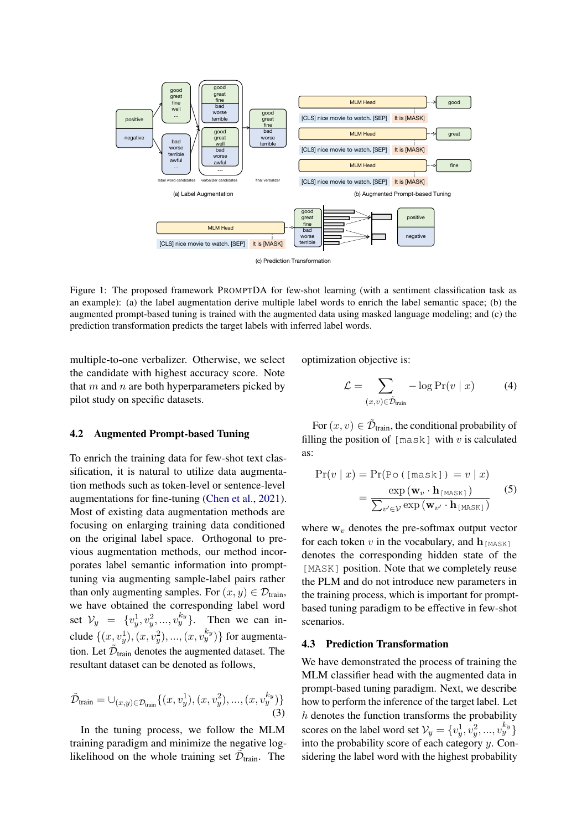<span id="page-3-0"></span>

(c) Prediction Transformation

Figure 1: The proposed framework PROMPTDA for few-shot learning (with a sentiment classification task as an example): (a) the label augmentation derive multiple label words to enrich the label semantic space; (b) the augmented prompt-based tuning is trained with the augmented data using masked language modeling; and (c) the prediction transformation predicts the target labels with inferred label words.

multiple-to-one verbalizer. Otherwise, we select the candidate with highest accuracy score. Note that  $m$  and  $n$  are both hyperparameters picked by pilot study on specific datasets.

#### 4.2 Augmented Prompt-based Tuning

To enrich the training data for few-shot text classification, it is natural to utilize data augmentation methods such as token-level or sentence-level augmentations for fine-tuning [\(Chen et al.,](#page-8-6) [2021\)](#page-8-6). Most of existing data augmentation methods are focusing on enlarging training data conditioned on the original label space. Orthogonal to previous augmentation methods, our method incorporates label semantic information into prompttuning via augmenting sample-label pairs rather than only augmenting samples. For  $(x, y) \in \mathcal{D}_{\text{train}}$ , we have obtained the corresponding label word set  $V_y = \{v_y^1, v_y^2, ..., v_y^{k_y}\}$ . Then we can include  $\{(x, v_y^1), (x, v_y^2), ..., (x, v_y^{k_y})\}$  for augmentation. Let  $\tilde{\mathcal{D}}_{\text{train}}$  denotes the augmented dataset. The resultant dataset can be denoted as follows,

$$
\tilde{\mathcal{D}}_{\text{train}} = \cup_{(x,y)\in \mathcal{D}_{\text{train}}} \{ (x, v_y^1), (x, v_y^2), ..., (x, v_y^{k_y}) \}
$$
\n(3)

In the tuning process, we follow the MLM training paradigm and minimize the negative loglikelihood on the whole training set  $\tilde{\mathcal{D}}_{\text{train}}$ . The

optimization objective is:

$$
\mathcal{L} = \sum_{(x,v)\in\tilde{\mathcal{D}}_{\text{train}}} -\log \Pr(v \mid x) \tag{4}
$$

For  $(x, v) \in \tilde{\mathcal{D}}_{\text{train}}$ , the conditional probability of filling the position of  $[\text{mask}]$  with v is calculated as:

$$
Pr(v | x) = Pr(Po ([mask]) = v | x)
$$
  
= 
$$
\frac{\exp(\mathbf{w}_v \cdot \mathbf{h}_{[MASK]})}{\sum_{v' \in \mathcal{V}} \exp(\mathbf{w}_{v'} \cdot \mathbf{h}_{[MASK]})}
$$
 (5)

where  $w<sub>v</sub>$  denotes the pre-softmax output vector for each token v in the vocabulary, and  $\mathbf{h}_{\text{[MASK]}}$ denotes the corresponding hidden state of the [MASK] position. Note that we completely reuse the PLM and do not introduce new parameters in the training process, which is important for promptbased tuning paradigm to be effective in few-shot scenarios.

### 4.3 Prediction Transformation

We have demonstrated the process of training the MLM classifier head with the augmented data in prompt-based tuning paradigm. Next, we describe how to perform the inference of the target label. Let  $h$  denotes the function transforms the probability scores on the label word set  $\mathcal{V}_y = \{v_y^1, v_y^2, ..., v_y^{k_y}\}$ into the probability score of each category  $y$ . Considering the label word with the highest probability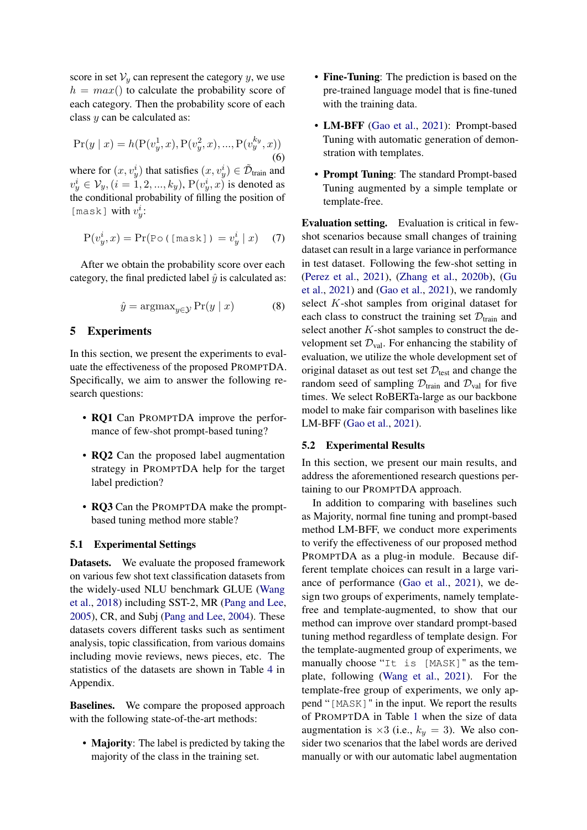score in set  $V_y$  can represent the category y, we use  $h = max()$  to calculate the probability score of each category. Then the probability score of each class y can be calculated as:

$$
Pr(y \mid x) = h(P(v_y^1, x), P(v_y^2, x), ..., P(v_y^{k_y}, x))
$$
\n(6)

where for  $(x, v_y^i)$  that satisfies  $(x, v_y^i) \in \tilde{\mathcal{D}}_{\text{train}}$  and  $v_y^i \in \mathcal{V}_y$ ,  $(i = 1, 2, ..., k_y)$ ,  $P(v_y^i, x)$  is denoted as the conditional probability of filling the position of [mask] with  $v_y^i$ :

$$
P(v_y^i, x) = Pr(P \circ (\text{[mask]}) = v_y^i \mid x)
$$
 (7)

After we obtain the probability score over each category, the final predicted label  $\hat{y}$  is calculated as:

$$
\hat{y} = \operatorname{argmax}_{y \in \mathcal{Y}} \Pr(y \mid x) \tag{8}
$$

## 5 Experiments

In this section, we present the experiments to evaluate the effectiveness of the proposed PROMPTDA. Specifically, we aim to answer the following research questions:

- RQ1 Can PROMPTDA improve the performance of few-shot prompt-based tuning?
- **RQ2** Can the proposed label augmentation strategy in PROMPTDA help for the target label prediction?
- RQ3 Can the PROMPTDA make the promptbased tuning method more stable?

#### 5.1 Experimental Settings

Datasets. We evaluate the proposed framework on various few shot text classification datasets from the widely-used NLU benchmark GLUE [\(Wang](#page-9-17) [et al.,](#page-9-17) [2018\)](#page-9-17) including SST-2, MR [\(Pang and Lee,](#page-8-20) [2005\)](#page-8-20), CR, and Subj [\(Pang and Lee,](#page-8-21) [2004\)](#page-8-21). These datasets covers different tasks such as sentiment analysis, topic classification, from various domains including movie reviews, news pieces, etc. The statistics of the datasets are shown in Table [4](#page-10-0) in Appendix.

Baselines. We compare the proposed approach with the following state-of-the-art methods:

• **Majority**: The label is predicted by taking the majority of the class in the training set.

- Fine-Tuning: The prediction is based on the pre-trained language model that is fine-tuned with the training data.
- LM-BFF [\(Gao et al.,](#page-8-5) [2021\)](#page-8-5): Prompt-based Tuning with automatic generation of demonstration with templates.
- Prompt Tuning: The standard Prompt-based Tuning augmented by a simple template or template-free.

Evaluation setting. Evaluation is critical in fewshot scenarios because small changes of training dataset can result in a large variance in performance in test dataset. Following the few-shot setting in [\(Perez et al.,](#page-8-22) [2021\)](#page-8-22), [\(Zhang et al.,](#page-9-18) [2020b\)](#page-9-18), [\(Gu](#page-8-23) [et al.,](#page-8-23) [2021\)](#page-8-23) and [\(Gao et al.,](#page-8-5) [2021\)](#page-8-5), we randomly select K-shot samples from original dataset for each class to construct the training set  $\mathcal{D}_{\text{train}}$  and select another K-shot samples to construct the development set  $\mathcal{D}_{val}$ . For enhancing the stability of evaluation, we utilize the whole development set of original dataset as out test set  $D_{\text{test}}$  and change the random seed of sampling  $\mathcal{D}_{\text{train}}$  and  $\mathcal{D}_{\text{val}}$  for five times. We select RoBERTa-large as our backbone model to make fair comparison with baselines like LM-BFF [\(Gao et al.,](#page-8-5) [2021\)](#page-8-5).

### 5.2 Experimental Results

In this section, we present our main results, and address the aforementioned research questions pertaining to our PROMPTDA approach.

In addition to comparing with baselines such as Majority, normal fine tuning and prompt-based method LM-BFF, we conduct more experiments to verify the effectiveness of our proposed method PROMPTDA as a plug-in module. Because different template choices can result in a large variance of performance [\(Gao et al.,](#page-8-5) [2021\)](#page-8-5), we design two groups of experiments, namely templatefree and template-augmented, to show that our method can improve over standard prompt-based tuning method regardless of template design. For the template-augmented group of experiments, we manually choose "It is [MASK]" as the template, following [\(Wang et al.,](#page-9-19) [2021\)](#page-9-19). For the template-free group of experiments, we only append "[MASK]" in the input. We report the results of PROMPTDA in Table [1](#page-5-0) when the size of data augmentation is  $\times 3$  (i.e.,  $k_y = 3$ ). We also consider two scenarios that the label words are derived manually or with our automatic label augmentation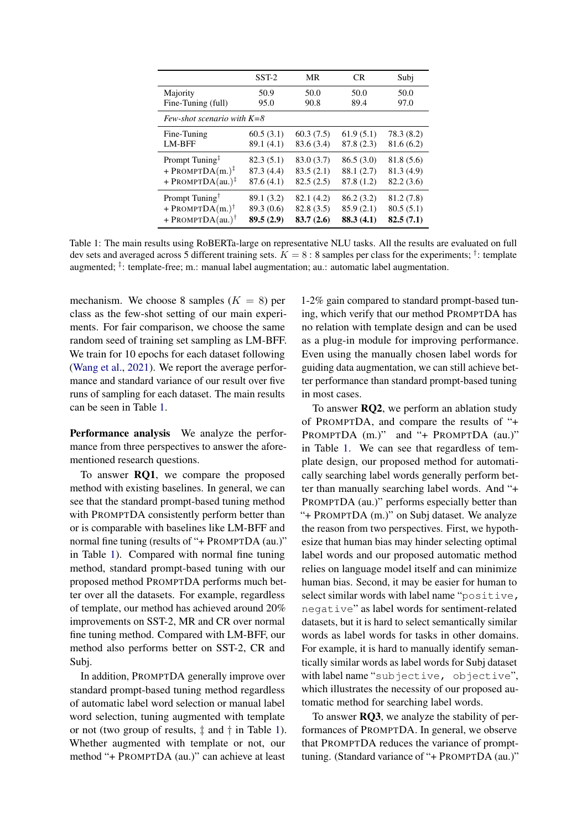<span id="page-5-0"></span>

|                                | $SST-2$    | MR           | CR.          | Subi         |  |
|--------------------------------|------------|--------------|--------------|--------------|--|
| Majority                       | 50.9       | 50.0<br>90.8 | 50.0<br>89.4 | 50.0<br>97.0 |  |
| Fine-Tuning (full)             | 95.0       |              |              |              |  |
| Few-shot scenario with $K = 8$ |            |              |              |              |  |
| Fine-Tuning                    | 60.5(3.1)  | 60.3(7.5)    | 61.9(5.1)    | 78.3 (8.2)   |  |
| <b>LM-BFF</b>                  | 89.1(4.1)  | 83.6 (3.4)   | 87.8(2.3)    | 81.6(6.2)    |  |
| Prompt Tuning <sup>‡</sup>     | 82.3(5.1)  | 83.0 (3.7)   | 86.5(3.0)    | 81.8(5.6)    |  |
| + PROMPTDA $(m.)^{\ddagger}$   | 87.3(4.4)  | 83.5(2.1)    | 88.1 (2.7)   | 81.3(4.9)    |  |
| + PROMPTDA(au.) $^{\ddagger}$  | 87.6(4.1)  | 82.5(2.5)    | 87.8 (1.2)   | 82.2(3.6)    |  |
| Prompt Tuning <sup>†</sup>     | 89.1 (3.2) | 82.1(4.2)    | 86.2(3.2)    | 81.2 (7.8)   |  |
| + PROMPTDA $(m.)^{\dagger}$    | 89.3 (0.6) | 82.8 (3.5)   | 85.9(2.1)    | 80.5(5.1)    |  |
| + PROMPTDA(au.) <sup>†</sup>   | 89.5(2.9)  | 83.7(2.6)    | 88.3(4.1)    | 82.5(7.1)    |  |

Table 1: The main results using RoBERTa-large on representative NLU tasks. All the results are evaluated on full dev sets and averaged across 5 different training sets.  $K = 8:8$  samples per class for the experiments; <sup>†</sup>: template augmented; <sup>‡</sup>: template-free; m.: manual label augmentation; au.: automatic label augmentation.

mechanism. We choose 8 samples  $(K = 8)$  per class as the few-shot setting of our main experiments. For fair comparison, we choose the same random seed of training set sampling as LM-BFF. We train for 10 epochs for each dataset following [\(Wang et al.,](#page-9-19) [2021\)](#page-9-19). We report the average performance and standard variance of our result over five runs of sampling for each dataset. The main results can be seen in Table [1.](#page-5-0)

Performance analysis We analyze the performance from three perspectives to answer the aforementioned research questions.

To answer RQ1, we compare the proposed method with existing baselines. In general, we can see that the standard prompt-based tuning method with PROMPTDA consistently perform better than or is comparable with baselines like LM-BFF and normal fine tuning (results of "+ PROMPTDA (au.)" in Table [1\)](#page-5-0). Compared with normal fine tuning method, standard prompt-based tuning with our proposed method PROMPTDA performs much better over all the datasets. For example, regardless of template, our method has achieved around 20% improvements on SST-2, MR and CR over normal fine tuning method. Compared with LM-BFF, our method also performs better on SST-2, CR and Subj.

In addition, PROMPTDA generally improve over standard prompt-based tuning method regardless of automatic label word selection or manual label word selection, tuning augmented with template or not (two group of results, ‡ and † in Table [1\)](#page-5-0). Whether augmented with template or not, our method "+ PROMPTDA (au.)" can achieve at least

1-2% gain compared to standard prompt-based tuning, which verify that our method PROMPTDA has no relation with template design and can be used as a plug-in module for improving performance. Even using the manually chosen label words for guiding data augmentation, we can still achieve better performance than standard prompt-based tuning in most cases.

To answer **RQ2**, we perform an ablation study of PROMPTDA, and compare the results of "+ PROMPTDA (m.)" and "+ PROMPTDA (au.)" in Table [1.](#page-5-0) We can see that regardless of template design, our proposed method for automatically searching label words generally perform better than manually searching label words. And "+ PROMPTDA (au.)" performs especially better than "+ PROMPTDA (m.)" on Subj dataset. We analyze the reason from two perspectives. First, we hypothesize that human bias may hinder selecting optimal label words and our proposed automatic method relies on language model itself and can minimize human bias. Second, it may be easier for human to select similar words with label name "positive, negative" as label words for sentiment-related datasets, but it is hard to select semantically similar words as label words for tasks in other domains. For example, it is hard to manually identify semantically similar words as label words for Subj dataset with label name "subjective, objective", which illustrates the necessity of our proposed automatic method for searching label words.

To answer RQ3, we analyze the stability of performances of PROMPTDA. In general, we observe that PROMPTDA reduces the variance of prompttuning. (Standard variance of "+ PROMPTDA (au.)"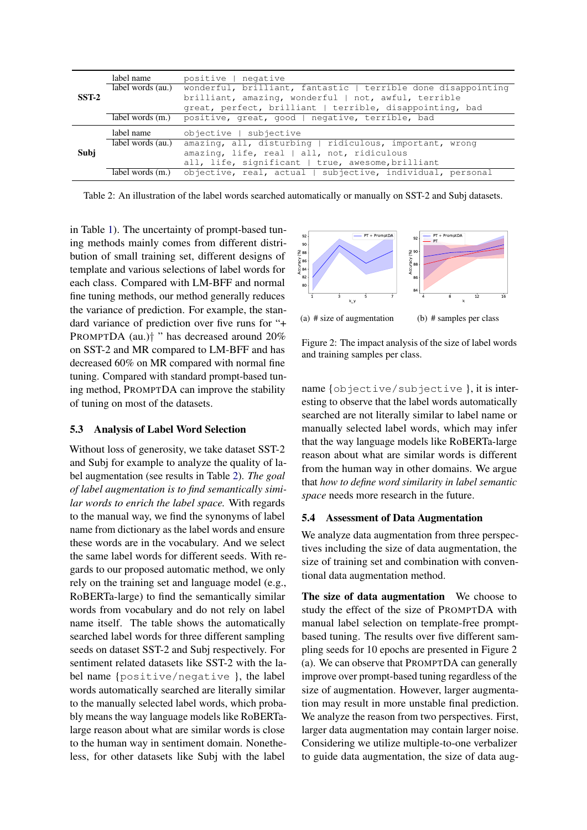<span id="page-6-0"></span>

|         | label name        | positive   negative                                                             |  |  |
|---------|-------------------|---------------------------------------------------------------------------------|--|--|
|         |                   | label words (au.) wonderful, brilliant, fantastic   terrible done disappointing |  |  |
| $SST-2$ |                   | brilliant, amazing, wonderful   not, awful, terrible                            |  |  |
|         |                   | great, perfect, brilliant   terrible, disappointing, bad                        |  |  |
|         |                   | label words (m.) positive, great, good   negative, terrible, bad                |  |  |
|         |                   |                                                                                 |  |  |
|         | label name        | objective   subjective                                                          |  |  |
|         | label words (au.) | amazing, all, disturbing   ridiculous, important, wrong                         |  |  |
| Subi    |                   | amazing, life, real   all, not, ridiculous                                      |  |  |
|         |                   | all, life, significant   true, awesome, brilliant                               |  |  |

Table 2: An illustration of the label words searched automatically or manually on SST-2 and Subj datasets.

in Table [1\)](#page-5-0). The uncertainty of prompt-based tuning methods mainly comes from different distribution of small training set, different designs of template and various selections of label words for each class. Compared with LM-BFF and normal fine tuning methods, our method generally reduces the variance of prediction. For example, the standard variance of prediction over five runs for "+ PROMPTDA (au.)<sup>†</sup> " has decreased around 20% on SST-2 and MR compared to LM-BFF and has decreased 60% on MR compared with normal fine tuning. Compared with standard prompt-based tuning method, PROMPTDA can improve the stability of tuning on most of the datasets.

## 5.3 Analysis of Label Word Selection

Without loss of generosity, we take dataset SST-2 and Subj for example to analyze the quality of label augmentation (see results in Table [2\)](#page-6-0). *The goal of label augmentation is to find semantically similar words to enrich the label space.* With regards to the manual way, we find the synonyms of label name from dictionary as the label words and ensure these words are in the vocabulary. And we select the same label words for different seeds. With regards to our proposed automatic method, we only rely on the training set and language model (e.g., RoBERTa-large) to find the semantically similar words from vocabulary and do not rely on label name itself. The table shows the automatically searched label words for three different sampling seeds on dataset SST-2 and Subj respectively. For sentiment related datasets like SST-2 with the label name {positive/negative }, the label words automatically searched are literally similar to the manually selected label words, which probably means the way language models like RoBERTalarge reason about what are similar words is close to the human way in sentiment domain. Nonetheless, for other datasets like Subj with the label



(a) # size of augmentation

(b) # samples per class

Figure 2: The impact analysis of the size of label words and training samples per class.

name {objective/subjective }, it is interesting to observe that the label words automatically searched are not literally similar to label name or manually selected label words, which may infer that the way language models like RoBERTa-large reason about what are similar words is different from the human way in other domains. We argue that *how to define word similarity in label semantic space* needs more research in the future.

## 5.4 Assessment of Data Augmentation

We analyze data augmentation from three perspectives including the size of data augmentation, the size of training set and combination with conventional data augmentation method.

The size of data augmentation We choose to study the effect of the size of PROMPTDA with manual label selection on template-free promptbased tuning. The results over five different sampling seeds for 10 epochs are presented in Figure 2 (a). We can observe that PROMPTDA can generally improve over prompt-based tuning regardless of the size of augmentation. However, larger augmentation may result in more unstable final prediction. We analyze the reason from two perspectives. First, larger data augmentation may contain larger noise. Considering we utilize multiple-to-one verbalizer to guide data augmentation, the size of data aug-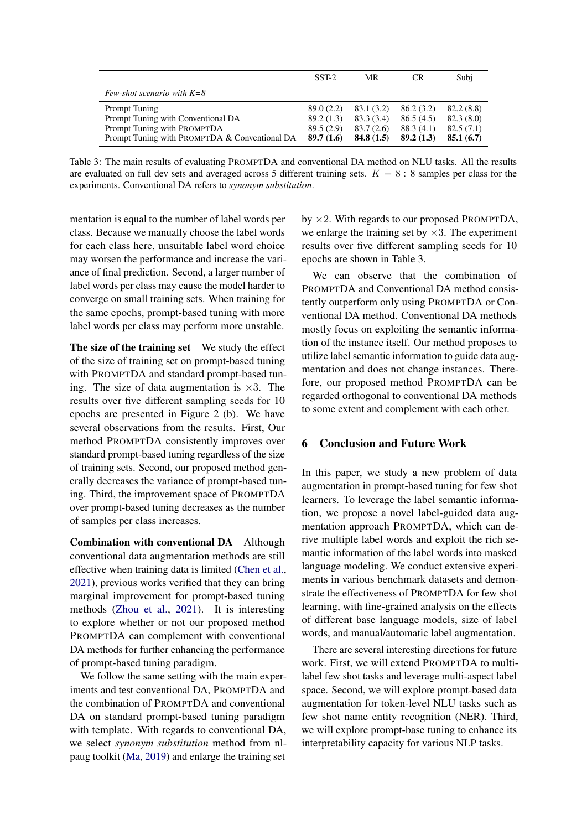|                                               | SST-2      | MR         | CR         | Subj      |
|-----------------------------------------------|------------|------------|------------|-----------|
| Few-shot scenario with $K=8$                  |            |            |            |           |
| Prompt Tuning                                 | 89.0 (2.2) | 83.1 (3.2) | 86.2 (3.2) | 82.2(8.8) |
| Prompt Tuning with Conventional DA            | 89.2 (1.3) | 83.3 (3.4) | 86.5(4.5)  | 82.3(8.0) |
| Prompt Tuning with PROMPTDA                   | 89.5(2.9)  | 83.7 (2.6) | 88.3 (4.1) | 82.5(7.1) |
| Prompt Tuning with PROMPTDA & Conventional DA | 89.7(1.6)  | 84.8(1.5)  | 89.2(1.3)  | 85.1(6.7) |

Table 3: The main results of evaluating PROMPTDA and conventional DA method on NLU tasks. All the results are evaluated on full dev sets and averaged across 5 different training sets.  $K = 8:8$  samples per class for the experiments. Conventional DA refers to *synonym substitution*.

mentation is equal to the number of label words per class. Because we manually choose the label words for each class here, unsuitable label word choice may worsen the performance and increase the variance of final prediction. Second, a larger number of label words per class may cause the model harder to converge on small training sets. When training for the same epochs, prompt-based tuning with more label words per class may perform more unstable.

The size of the training set We study the effect of the size of training set on prompt-based tuning with PROMPTDA and standard prompt-based tuning. The size of data augmentation is  $\times 3$ . The results over five different sampling seeds for 10 epochs are presented in Figure 2 (b). We have several observations from the results. First, Our method PROMPTDA consistently improves over standard prompt-based tuning regardless of the size of training sets. Second, our proposed method generally decreases the variance of prompt-based tuning. Third, the improvement space of PROMPTDA over prompt-based tuning decreases as the number of samples per class increases.

Combination with conventional DA Although conventional data augmentation methods are still effective when training data is limited [\(Chen et al.,](#page-8-6) [2021\)](#page-8-6), previous works verified that they can bring marginal improvement for prompt-based tuning methods [\(Zhou et al.,](#page-9-16) [2021\)](#page-9-16). It is interesting to explore whether or not our proposed method PROMPTDA can complement with conventional DA methods for further enhancing the performance of prompt-based tuning paradigm.

We follow the same setting with the main experiments and test conventional DA, PROMPTDA and the combination of PROMPTDA and conventional DA on standard prompt-based tuning paradigm with template. With regards to conventional DA, we select *synonym substitution* method from nlpaug toolkit [\(Ma,](#page-8-24) [2019\)](#page-8-24) and enlarge the training set

by  $\times$ 2. With regards to our proposed PROMPTDA, we enlarge the training set by  $\times$ 3. The experiment results over five different sampling seeds for 10 epochs are shown in Table 3.

We can observe that the combination of PROMPTDA and Conventional DA method consistently outperform only using PROMPTDA or Conventional DA method. Conventional DA methods mostly focus on exploiting the semantic information of the instance itself. Our method proposes to utilize label semantic information to guide data augmentation and does not change instances. Therefore, our proposed method PROMPTDA can be regarded orthogonal to conventional DA methods to some extent and complement with each other.

## 6 Conclusion and Future Work

In this paper, we study a new problem of data augmentation in prompt-based tuning for few shot learners. To leverage the label semantic information, we propose a novel label-guided data augmentation approach PROMPTDA, which can derive multiple label words and exploit the rich semantic information of the label words into masked language modeling. We conduct extensive experiments in various benchmark datasets and demonstrate the effectiveness of PROMPTDA for few shot learning, with fine-grained analysis on the effects of different base language models, size of label words, and manual/automatic label augmentation.

There are several interesting directions for future work. First, we will extend PROMPTDA to multilabel few shot tasks and leverage multi-aspect label space. Second, we will explore prompt-based data augmentation for token-level NLU tasks such as few shot name entity recognition (NER). Third, we will explore prompt-base tuning to enhance its interpretability capacity for various NLP tasks.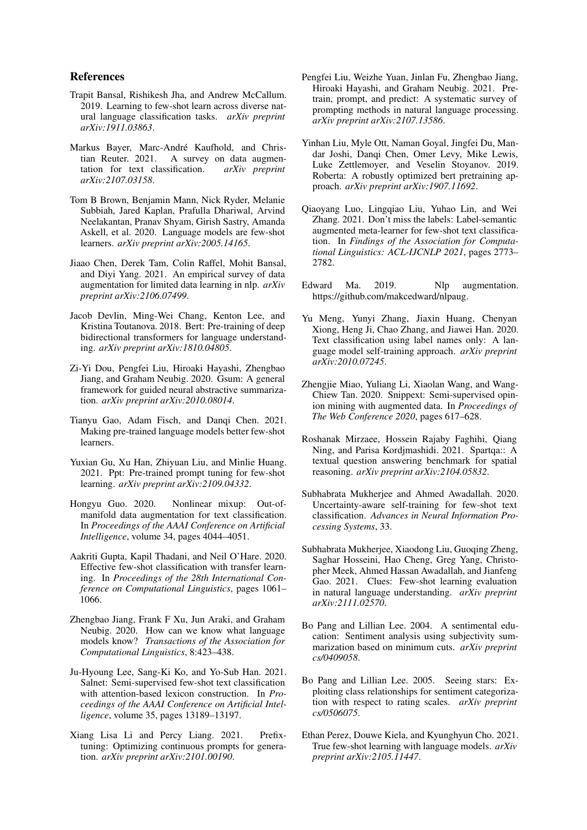## References

- <span id="page-8-15"></span>Trapit Bansal, Rishikesh Jha, and Andrew McCallum. 2019. Learning to few-shot learn across diverse natural language classification tasks. *arXiv preprint arXiv:1911.03863*.
- <span id="page-8-19"></span>Markus Bayer, Marc-André Kaufhold, and Chris-A survey on data augmentation for text classification. *arXiv preprint arXiv:2107.03158*.
- <span id="page-8-4"></span>Tom B Brown, Benjamin Mann, Nick Ryder, Melanie Subbiah, Jared Kaplan, Prafulla Dhariwal, Arvind Neelakantan, Pranav Shyam, Girish Sastry, Amanda Askell, et al. 2020. Language models are few-shot learners. *arXiv preprint arXiv:2005.14165*.
- <span id="page-8-6"></span>Jiaao Chen, Derek Tam, Colin Raffel, Mohit Bansal, and Diyi Yang. 2021. An empirical survey of data augmentation for limited data learning in nlp. *arXiv preprint arXiv:2106.07499*.
- <span id="page-8-1"></span>Jacob Devlin, Ming-Wei Chang, Kenton Lee, and Kristina Toutanova. 2018. Bert: Pre-training of deep bidirectional transformers for language understanding. *arXiv preprint arXiv:1810.04805*.
- <span id="page-8-11"></span>Zi-Yi Dou, Pengfei Liu, Hiroaki Hayashi, Zhengbao Jiang, and Graham Neubig. 2020. Gsum: A general framework for guided neural abstractive summarization. *arXiv preprint arXiv:2010.08014*.
- <span id="page-8-5"></span>Tianyu Gao, Adam Fisch, and Danqi Chen. 2021. Making pre-trained language models better few-shot learners.
- <span id="page-8-23"></span>Yuxian Gu, Xu Han, Zhiyuan Liu, and Minlie Huang. 2021. Ppt: Pre-trained prompt tuning for few-shot learning. *arXiv preprint arXiv:2109.04332*.
- <span id="page-8-18"></span>Hongyu Guo. 2020. Nonlinear mixup: Out-ofmanifold data augmentation for text classification. In *Proceedings of the AAAI Conference on Artificial Intelligence*, volume 34, pages 4044–4051.
- <span id="page-8-17"></span>Aakriti Gupta, Kapil Thadani, and Neil O'Hare. 2020. Effective few-shot classification with transfer learning. In *Proceedings of the 28th International Conference on Computational Linguistics*, pages 1061– 1066.
- <span id="page-8-9"></span>Zhengbao Jiang, Frank F Xu, Jun Araki, and Graham Neubig. 2020. How can we know what language models know? *Transactions of the Association for Computational Linguistics*, 8:423–438.
- <span id="page-8-14"></span>Ju-Hyoung Lee, Sang-Ki Ko, and Yo-Sub Han. 2021. Salnet: Semi-supervised few-shot text classification with attention-based lexicon construction. In *Proceedings of the AAAI Conference on Artificial Intelligence*, volume 35, pages 13189–13197.
- <span id="page-8-10"></span>Xiang Lisa Li and Percy Liang. 2021. Prefixtuning: Optimizing continuous prompts for generation. *arXiv preprint arXiv:2101.00190*.
- <span id="page-8-12"></span>Pengfei Liu, Weizhe Yuan, Jinlan Fu, Zhengbao Jiang, Hiroaki Hayashi, and Graham Neubig. 2021. Pretrain, prompt, and predict: A systematic survey of prompting methods in natural language processing. *arXiv preprint arXiv:2107.13586*.
- <span id="page-8-2"></span>Yinhan Liu, Myle Ott, Naman Goyal, Jingfei Du, Mandar Joshi, Danqi Chen, Omer Levy, Mike Lewis, Luke Zettlemoyer, and Veselin Stoyanov. 2019. Roberta: A robustly optimized bert pretraining approach. *arXiv preprint arXiv:1907.11692*.
- <span id="page-8-8"></span>Qiaoyang Luo, Lingqiao Liu, Yuhao Lin, and Wei Zhang. 2021. Don't miss the labels: Label-semantic augmented meta-learner for few-shot text classification. In *Findings of the Association for Computational Linguistics: ACL-IJCNLP 2021*, pages 2773– 2782.
- <span id="page-8-24"></span>Edward Ma. 2019. Nlp augmentation. https://github.com/makcedward/nlpaug.
- <span id="page-8-16"></span>Yu Meng, Yunyi Zhang, Jiaxin Huang, Chenyan Xiong, Heng Ji, Chao Zhang, and Jiawei Han. 2020. Text classification using label names only: A language model self-training approach. *arXiv preprint arXiv:2010.07245*.
- <span id="page-8-7"></span>Zhengiie Miao, Yuliang Li, Xiaolan Wang, and Wang-Chiew Tan. 2020. Snippext: Semi-supervised opinion mining with augmented data. In *Proceedings of The Web Conference 2020*, pages 617–628.
- <span id="page-8-0"></span>Roshanak Mirzaee, Hossein Rajaby Faghihi, Qiang Ning, and Parisa Kordjmashidi. 2021. Spartqa:: A textual question answering benchmark for spatial reasoning. *arXiv preprint arXiv:2104.05832*.
- <span id="page-8-13"></span>Subhabrata Mukherjee and Ahmed Awadallah. 2020. Uncertainty-aware self-training for few-shot text classification. *Advances in Neural Information Processing Systems*, 33.
- <span id="page-8-3"></span>Subhabrata Mukherjee, Xiaodong Liu, Guoqing Zheng, Saghar Hosseini, Hao Cheng, Greg Yang, Christopher Meek, Ahmed Hassan Awadallah, and Jianfeng Gao. 2021. Clues: Few-shot learning evaluation in natural language understanding. *arXiv preprint arXiv:2111.02570*.
- <span id="page-8-21"></span>Bo Pang and Lillian Lee. 2004. A sentimental education: Sentiment analysis using subjectivity summarization based on minimum cuts. *arXiv preprint cs/0409058*.
- <span id="page-8-20"></span>Bo Pang and Lillian Lee. 2005. Seeing stars: Exploiting class relationships for sentiment categorization with respect to rating scales. *arXiv preprint cs/0506075*.
- <span id="page-8-22"></span>Ethan Perez, Douwe Kiela, and Kyunghyun Cho. 2021. True few-shot learning with language models. *arXiv preprint arXiv:2105.11447*.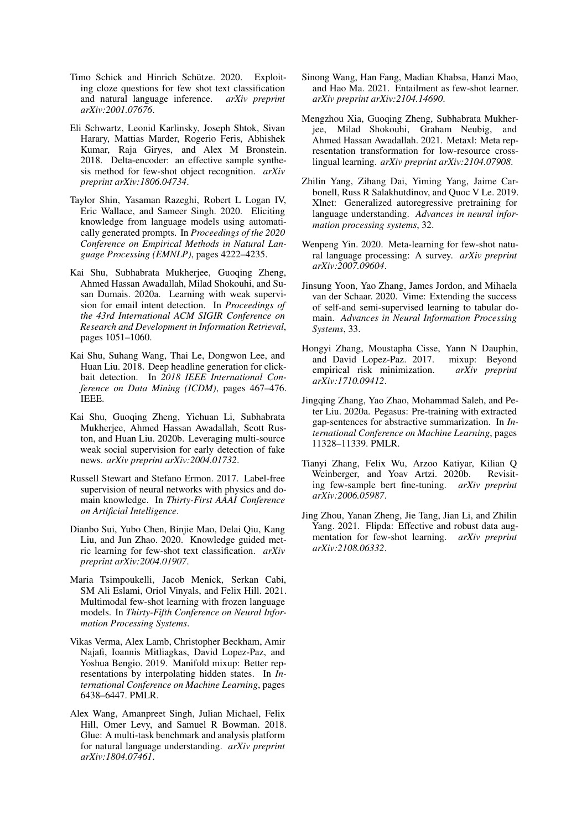- <span id="page-9-3"></span>Timo Schick and Hinrich Schütze. 2020. Exploiting cloze questions for few shot text classification and natural language inference. *arXiv preprint arXiv:2001.07676*.
- <span id="page-9-14"></span>Eli Schwartz, Leonid Karlinsky, Joseph Shtok, Sivan Harary, Mattias Marder, Rogerio Feris, Abhishek Kumar, Raja Giryes, and Alex M Bronstein. 2018. Delta-encoder: an effective sample synthesis method for few-shot object recognition. *arXiv preprint arXiv:1806.04734*.
- <span id="page-9-4"></span>Taylor Shin, Yasaman Razeghi, Robert L Logan IV, Eric Wallace, and Sameer Singh. 2020. Eliciting knowledge from language models using automatically generated prompts. In *Proceedings of the 2020 Conference on Empirical Methods in Natural Language Processing (EMNLP)*, pages 4222–4235.
- <span id="page-9-7"></span>Kai Shu, Subhabrata Mukherjee, Guoqing Zheng, Ahmed Hassan Awadallah, Milad Shokouhi, and Susan Dumais. 2020a. Learning with weak supervision for email intent detection. In *Proceedings of the 43rd International ACM SIGIR Conference on Research and Development in Information Retrieval*, pages 1051–1060.
- <span id="page-9-11"></span>Kai Shu, Suhang Wang, Thai Le, Dongwon Lee, and Huan Liu. 2018. Deep headline generation for clickbait detection. In *2018 IEEE International Conference on Data Mining (ICDM)*, pages 467–476. IEEE.
- <span id="page-9-2"></span>Kai Shu, Guoqing Zheng, Yichuan Li, Subhabrata Mukherjee, Ahmed Hassan Awadallah, Scott Ruston, and Huan Liu. 2020b. Leveraging multi-source weak social supervision for early detection of fake news. *arXiv preprint arXiv:2004.01732*.
- <span id="page-9-8"></span>Russell Stewart and Stefano Ermon. 2017. Label-free supervision of neural networks with physics and domain knowledge. In *Thirty-First AAAI Conference on Artificial Intelligence*.
- <span id="page-9-6"></span>Dianbo Sui, Yubo Chen, Binjie Mao, Delai Qiu, Kang Liu, and Jun Zhao. 2020. Knowledge guided metric learning for few-shot text classification. *arXiv preprint arXiv:2004.01907*.
- <span id="page-9-5"></span>Maria Tsimpoukelli, Jacob Menick, Serkan Cabi, SM Ali Eslami, Oriol Vinyals, and Felix Hill. 2021. Multimodal few-shot learning with frozen language models. In *Thirty-Fifth Conference on Neural Information Processing Systems*.
- <span id="page-9-15"></span>Vikas Verma, Alex Lamb, Christopher Beckham, Amir Najafi, Ioannis Mitliagkas, David Lopez-Paz, and Yoshua Bengio. 2019. Manifold mixup: Better representations by interpolating hidden states. In *International Conference on Machine Learning*, pages 6438–6447. PMLR.
- <span id="page-9-17"></span>Alex Wang, Amanpreet Singh, Julian Michael, Felix Hill, Omer Levy, and Samuel R Bowman. 2018. Glue: A multi-task benchmark and analysis platform for natural language understanding. *arXiv preprint arXiv:1804.07461*.
- <span id="page-9-19"></span>Sinong Wang, Han Fang, Madian Khabsa, Hanzi Mao, and Hao Ma. 2021. Entailment as few-shot learner. *arXiv preprint arXiv:2104.14690*.
- <span id="page-9-9"></span>Mengzhou Xia, Guoqing Zheng, Subhabrata Mukherjee, Milad Shokouhi, Graham Neubig, and Ahmed Hassan Awadallah. 2021. Metaxl: Meta representation transformation for low-resource crosslingual learning. *arXiv preprint arXiv:2104.07908*.
- <span id="page-9-0"></span>Zhilin Yang, Zihang Dai, Yiming Yang, Jaime Carbonell, Russ R Salakhutdinov, and Quoc V Le. 2019. Xlnet: Generalized autoregressive pretraining for language understanding. *Advances in neural information processing systems*, 32.
- <span id="page-9-10"></span>Wenpeng Yin. 2020. Meta-learning for few-shot natural language processing: A survey. *arXiv preprint arXiv:2007.09604*.
- <span id="page-9-13"></span>Jinsung Yoon, Yao Zhang, James Jordon, and Mihaela van der Schaar. 2020. Vime: Extending the success of self-and semi-supervised learning to tabular domain. *Advances in Neural Information Processing Systems*, 33.
- <span id="page-9-12"></span>Hongyi Zhang, Moustapha Cisse, Yann N Dauphin, and David Lopez-Paz. 2017. mixup: Beyond empirical risk minimization. *arXiv preprint arXiv:1710.09412*.
- <span id="page-9-1"></span>Jingqing Zhang, Yao Zhao, Mohammad Saleh, and Peter Liu. 2020a. Pegasus: Pre-training with extracted gap-sentences for abstractive summarization. In *International Conference on Machine Learning*, pages 11328–11339. PMLR.
- <span id="page-9-18"></span>Tianyi Zhang, Felix Wu, Arzoo Katiyar, Kilian Q Weinberger, and Yoav Artzi. 2020b. Revisiting few-sample bert fine-tuning. *arXiv preprint arXiv:2006.05987*.
- <span id="page-9-16"></span>Jing Zhou, Yanan Zheng, Jie Tang, Jian Li, and Zhilin Yang. 2021. Flipda: Effective and robust data augmentation for few-shot learning. *arXiv preprint arXiv:2108.06332*.